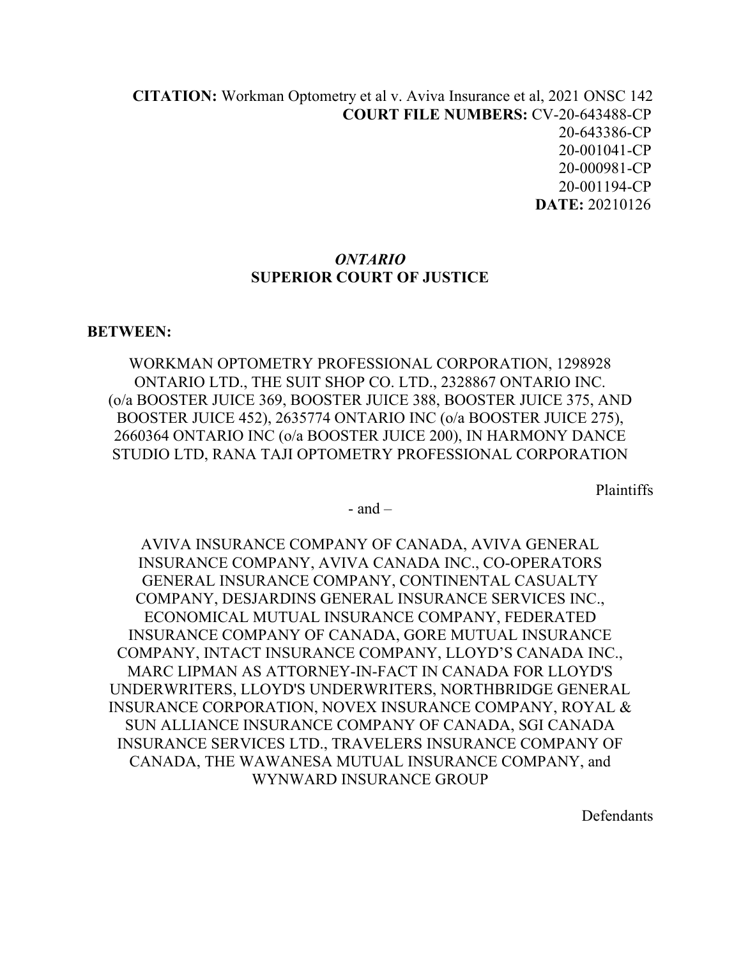**[CITATION](http://intra.judicialsecurity.jus.gov.on.ca/NeutralCitation/):** Workman Optometry et al v. Aviva Insurance et al, 2021 ONSC 142 **COURT FILE NUMBERS:** CV-20-643488-CP 20-643386-CP 20-001041-CP 20-000981-CP 20-001194-CP  **DATE:** 20210126

#### *ONTARIO* **SUPERIOR COURT OF JUSTICE**

#### **BETWEEN:**

WORKMAN OPTOMETRY PROFESSIONAL CORPORATION, 1298928 ONTARIO LTD., THE SUIT SHOP CO. LTD., 2328867 ONTARIO INC. (o/a BOOSTER JUICE 369, BOOSTER JUICE 388, BOOSTER JUICE 375, AND BOOSTER JUICE 452), 2635774 ONTARIO INC (o/a BOOSTER JUICE 275), 2660364 ONTARIO INC (o/a BOOSTER JUICE 200), IN HARMONY DANCE STUDIO LTD, RANA TAJI OPTOMETRY PROFESSIONAL CORPORATION

Plaintiffs

 $-$  and  $-$ 

AVIVA INSURANCE COMPANY OF CANADA, AVIVA GENERAL INSURANCE COMPANY, AVIVA CANADA INC., CO-OPERATORS GENERAL INSURANCE COMPANY, CONTINENTAL CASUALTY COMPANY, DESJARDINS GENERAL INSURANCE SERVICES INC., ECONOMICAL MUTUAL INSURANCE COMPANY, FEDERATED INSURANCE COMPANY OF CANADA, GORE MUTUAL INSURANCE COMPANY, INTACT INSURANCE COMPANY, LLOYD'S CANADA INC., MARC LIPMAN AS ATTORNEY-IN-FACT IN CANADA FOR LLOYD'S UNDERWRITERS, LLOYD'S UNDERWRITERS, NORTHBRIDGE GENERAL INSURANCE CORPORATION, NOVEX INSURANCE COMPANY, ROYAL & SUN ALLIANCE INSURANCE COMPANY OF CANADA, SGI CANADA INSURANCE SERVICES LTD., TRAVELERS INSURANCE COMPANY OF CANADA, THE WAWANESA MUTUAL INSURANCE COMPANY, and WYNWARD INSURANCE GROUP

Defendants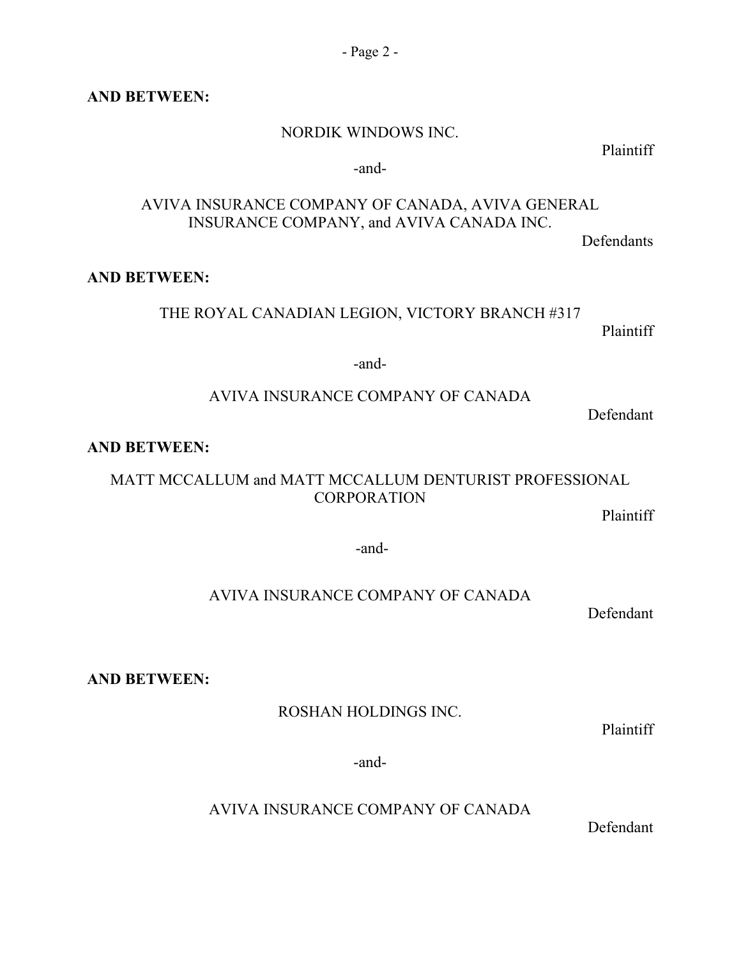#### **AND BETWEEN:**

#### NORDIK WINDOWS INC.

Plaintiff

#### -and-

## AVIVA INSURANCE COMPANY OF CANADA, AVIVA GENERAL INSURANCE COMPANY, and AVIVA CANADA INC.

Defendants

## **AND BETWEEN:**

## THE ROYAL CANADIAN LEGION, VICTORY BRANCH #317

Plaintiff

#### -and-

## AVIVA INSURANCE COMPANY OF CANADA

Defendant

## **AND BETWEEN:**

# MATT MCCALLUM and MATT MCCALLUM DENTURIST PROFESSIONAL **CORPORATION**

Plaintiff

-and-

## AVIVA INSURANCE COMPANY OF CANADA

Defendant

## **AND BETWEEN:**

## ROSHAN HOLDINGS INC.

Plaintiff

-and-

AVIVA INSURANCE COMPANY OF CANADA

Defendant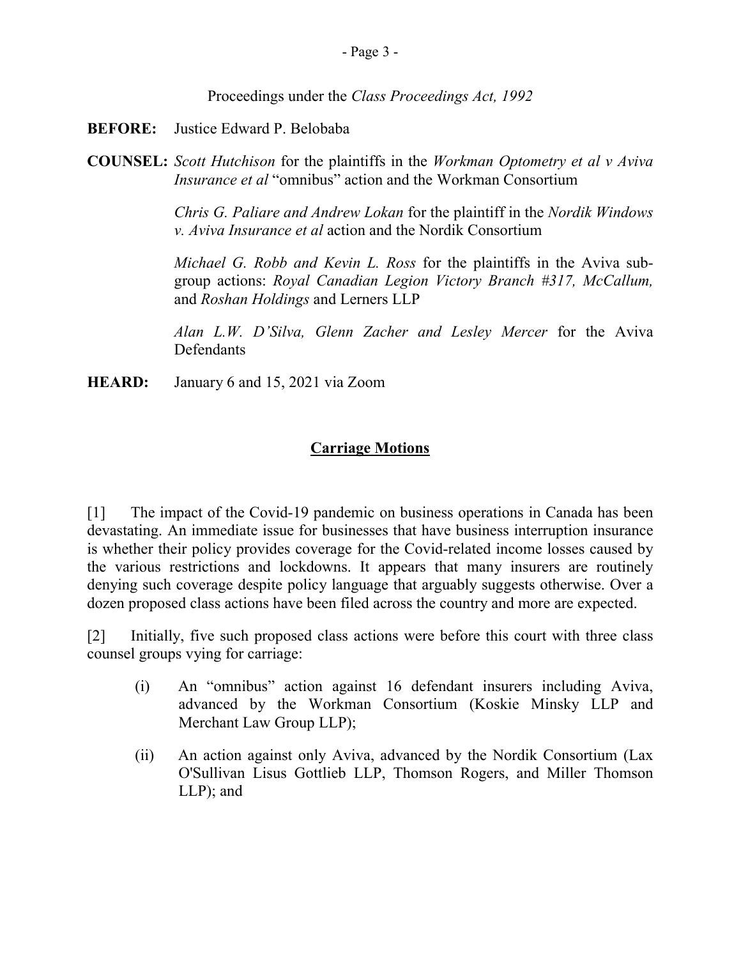Proceedings under the *Class Proceedings Act, 1992*

- **BEFORE:** Justice Edward P. Belobaba
- **COUNSEL:** *Scott Hutchison* for the plaintiffs in the *Workman Optometry et al v Aviva Insurance et al* "omnibus" action and the Workman Consortium

*Chris G. Paliare and Andrew Lokan* for the plaintiff in the *Nordik Windows v. Aviva Insurance et al* action and the Nordik Consortium

*Michael G. Robb and Kevin L. Ross* for the plaintiffs in the Aviva subgroup actions: *Royal Canadian Legion Victory Branch #317, McCallum,* and *Roshan Holdings* and Lerners LLP

*Alan L.W. D'Silva, Glenn Zacher and Lesley Mercer* for the Aviva **Defendants** 

**HEARD:** January 6 and 15, 2021 via Zoom

# **Carriage Motions**

[1] The impact of the Covid-19 pandemic on business operations in Canada has been devastating. An immediate issue for businesses that have business interruption insurance is whether their policy provides coverage for the Covid-related income losses caused by the various restrictions and lockdowns. It appears that many insurers are routinely denying such coverage despite policy language that arguably suggests otherwise. Over a dozen proposed class actions have been filed across the country and more are expected.

[2] Initially, five such proposed class actions were before this court with three class counsel groups vying for carriage:

- (i) An "omnibus" action against 16 defendant insurers including Aviva, advanced by the Workman Consortium (Koskie Minsky LLP and Merchant Law Group LLP);
- (ii) An action against only Aviva, advanced by the Nordik Consortium (Lax O'Sullivan Lisus Gottlieb LLP, Thomson Rogers, and Miller Thomson LLP); and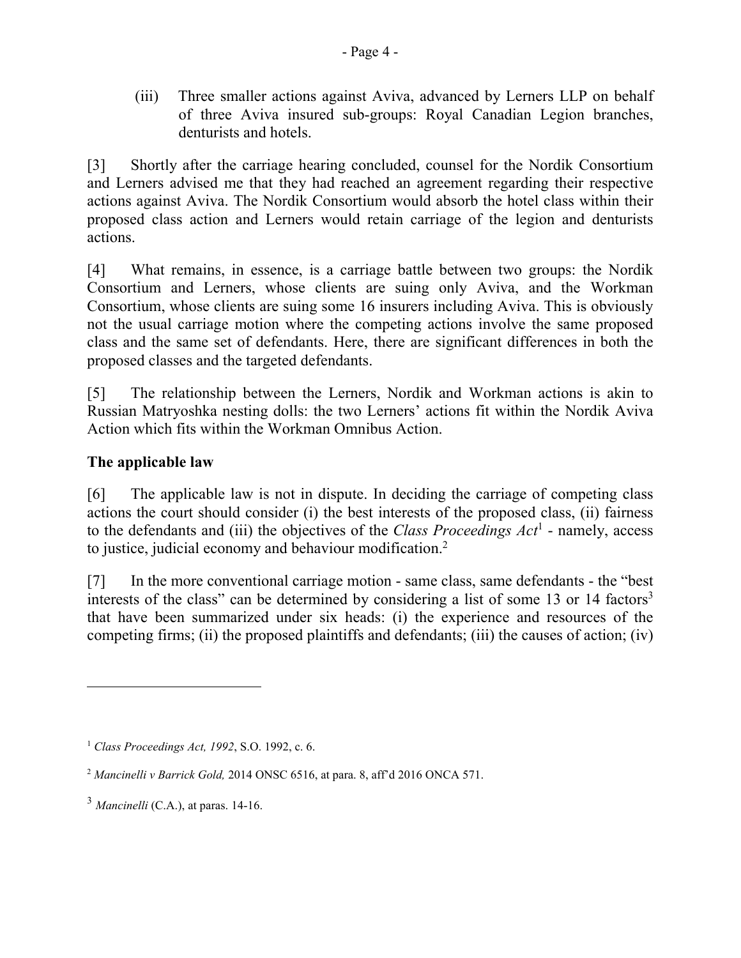(iii) Three smaller actions against Aviva, advanced by Lerners LLP on behalf of three Aviva insured sub-groups: Royal Canadian Legion branches, denturists and hotels.

[3] Shortly after the carriage hearing concluded, counsel for the Nordik Consortium and Lerners advised me that they had reached an agreement regarding their respective actions against Aviva. The Nordik Consortium would absorb the hotel class within their proposed class action and Lerners would retain carriage of the legion and denturists actions.

[4] What remains, in essence, is a carriage battle between two groups: the Nordik Consortium and Lerners, whose clients are suing only Aviva, and the Workman Consortium, whose clients are suing some 16 insurers including Aviva. This is obviously not the usual carriage motion where the competing actions involve the same proposed class and the same set of defendants. Here, there are significant differences in both the proposed classes and the targeted defendants.

[5] The relationship between the Lerners, Nordik and Workman actions is akin to Russian Matryoshka nesting dolls: the two Lerners' actions fit within the Nordik Aviva Action which fits within the Workman Omnibus Action.

# **The applicable law**

 $\overline{a}$ 

[6] The applicable law is not in dispute. In deciding the carriage of competing class actions the court should consider (i) the best interests of the proposed class, (ii) fairness to the defendants and (iii) the objectives of the *Class Proceedings Act*<sup>1</sup> - namely, access to justice, judicial economy and behaviour modification.<sup>2</sup>

[7] In the more conventional carriage motion - same class, same defendants - the "best interests of the class" can be determined by considering a list of some 13 or 14 factors<sup>3</sup> that have been summarized under six heads: (i) the experience and resources of the competing firms; (ii) the proposed plaintiffs and defendants; (iii) the causes of action; (iv)

<sup>1</sup> *Class Proceedings Act, 1992*, S.O. 1992, c. 6.

<sup>2</sup> *Mancinelli v Barrick Gold,* 2014 ONSC 6516, at para. 8, aff'd 2016 ONCA 571.

 $3$  *Mancinelli* (C.A.), at paras. 14-16.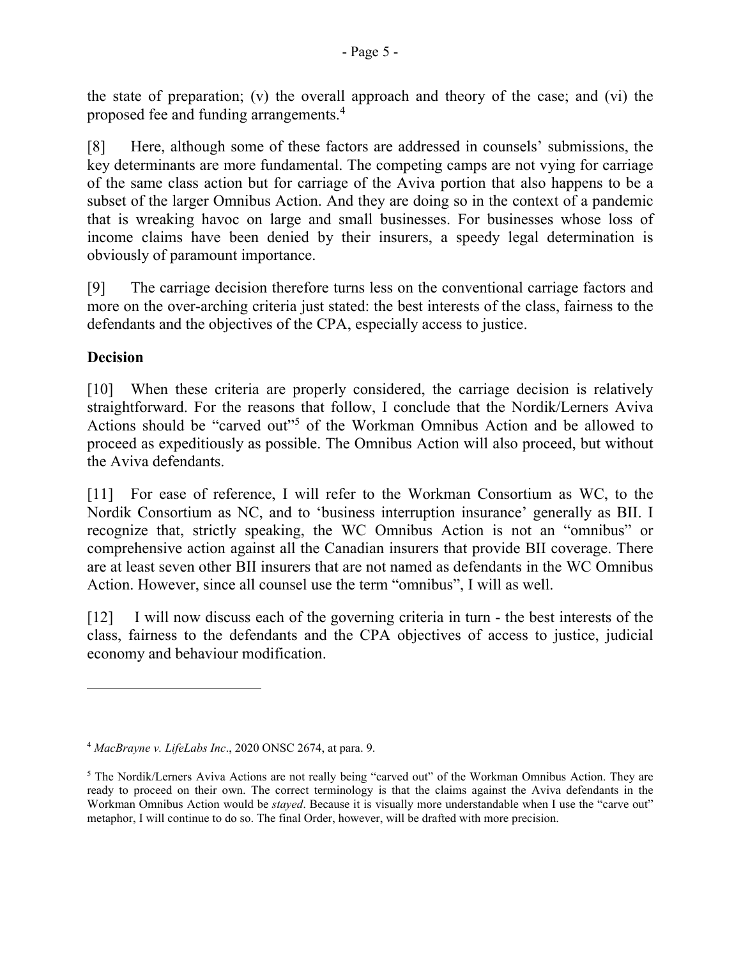the state of preparation; (v) the overall approach and theory of the case; and (vi) the proposed fee and funding arrangements. 4

[8] Here, although some of these factors are addressed in counsels' submissions, the key determinants are more fundamental. The competing camps are not vying for carriage of the same class action but for carriage of the Aviva portion that also happens to be a subset of the larger Omnibus Action. And they are doing so in the context of a pandemic that is wreaking havoc on large and small businesses. For businesses whose loss of income claims have been denied by their insurers, a speedy legal determination is obviously of paramount importance.

[9] The carriage decision therefore turns less on the conventional carriage factors and more on the over-arching criteria just stated: the best interests of the class, fairness to the defendants and the objectives of the CPA, especially access to justice.

## **Decision**

 $\overline{a}$ 

[10] When these criteria are properly considered, the carriage decision is relatively straightforward. For the reasons that follow, I conclude that the Nordik/Lerners Aviva Actions should be "carved out"<sup>5</sup> of the Workman Omnibus Action and be allowed to proceed as expeditiously as possible. The Omnibus Action will also proceed, but without the Aviva defendants.

[11] For ease of reference, I will refer to the Workman Consortium as WC, to the Nordik Consortium as NC, and to 'business interruption insurance' generally as BII. I recognize that, strictly speaking, the WC Omnibus Action is not an "omnibus" or comprehensive action against all the Canadian insurers that provide BII coverage. There are at least seven other BII insurers that are not named as defendants in the WC Omnibus Action. However, since all counsel use the term "omnibus", I will as well.

[12] I will now discuss each of the governing criteria in turn - the best interests of the class, fairness to the defendants and the CPA objectives of access to justice, judicial economy and behaviour modification.

<sup>4</sup> *MacBrayne v. LifeLabs Inc*., 2020 ONSC 2674, at para. 9.

<sup>5</sup> The Nordik/Lerners Aviva Actions are not really being "carved out" of the Workman Omnibus Action. They are ready to proceed on their own. The correct terminology is that the claims against the Aviva defendants in the Workman Omnibus Action would be *stayed*. Because it is visually more understandable when I use the "carve out" metaphor, I will continue to do so. The final Order, however, will be drafted with more precision.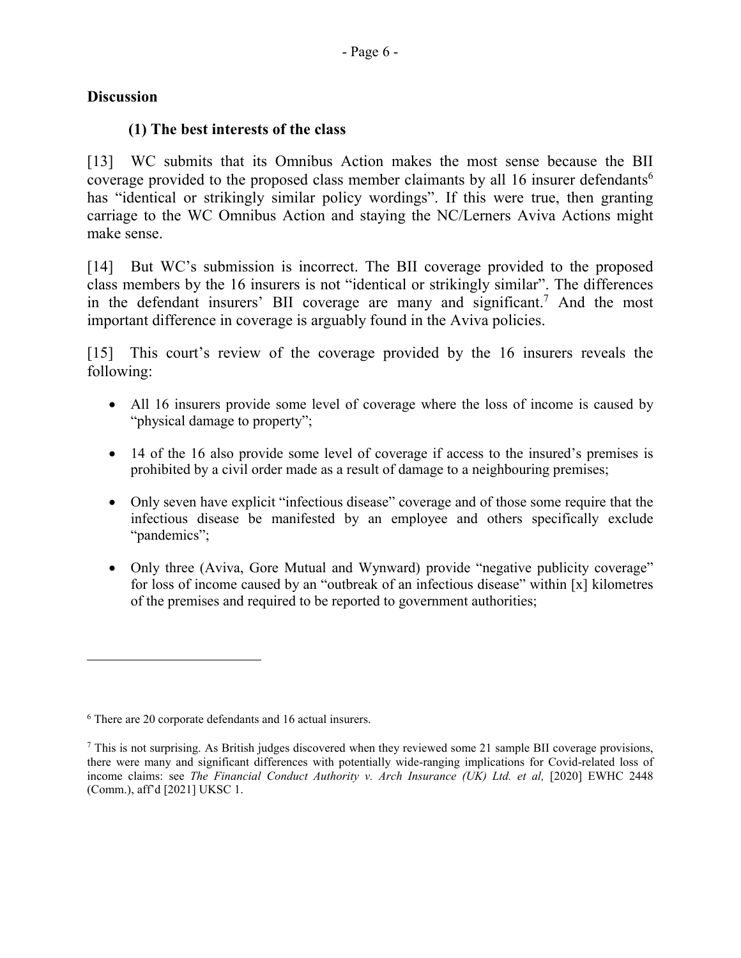## **Discussion**

 $\overline{a}$ 

## **(1) The best interests of the class**

[13] WC submits that its Omnibus Action makes the most sense because the BII coverage provided to the proposed class member claimants by all 16 insurer defendants<sup>6</sup> has "identical or strikingly similar policy wordings". If this were true, then granting carriage to the WC Omnibus Action and staying the NC/Lerners Aviva Actions might make sense.

[14] But WC's submission is incorrect. The BII coverage provided to the proposed class members by the 16 insurers is not "identical or strikingly similar". The differences in the defendant insurers' BII coverage are many and significant.<sup>7</sup> And the most important difference in coverage is arguably found in the Aviva policies.

[15] This court's review of the coverage provided by the 16 insurers reveals the following:

- All 16 insurers provide some level of coverage where the loss of income is caused by "physical damage to property";
- 14 of the 16 also provide some level of coverage if access to the insured's premises is prohibited by a civil order made as a result of damage to a neighbouring premises;
- Only seven have explicit "infectious disease" coverage and of those some require that the infectious disease be manifested by an employee and others specifically exclude "pandemics";
- Only three (Aviva, Gore Mutual and Wynward) provide "negative publicity coverage" for loss of income caused by an "outbreak of an infectious disease" within [x] kilometres of the premises and required to be reported to government authorities;

<sup>6</sup> There are 20 corporate defendants and 16 actual insurers.

 $^7$  This is not surprising. As British judges discovered when they reviewed some 21 sample BII coverage provisions, there were many and significant differences with potentially wide-ranging implications for Covid-related loss of income claims: see *The Financial Conduct Authority v. Arch Insurance (UK) Ltd. et al,* [2020] EWHC 2448 (Comm.), aff'd [2021] UKSC 1.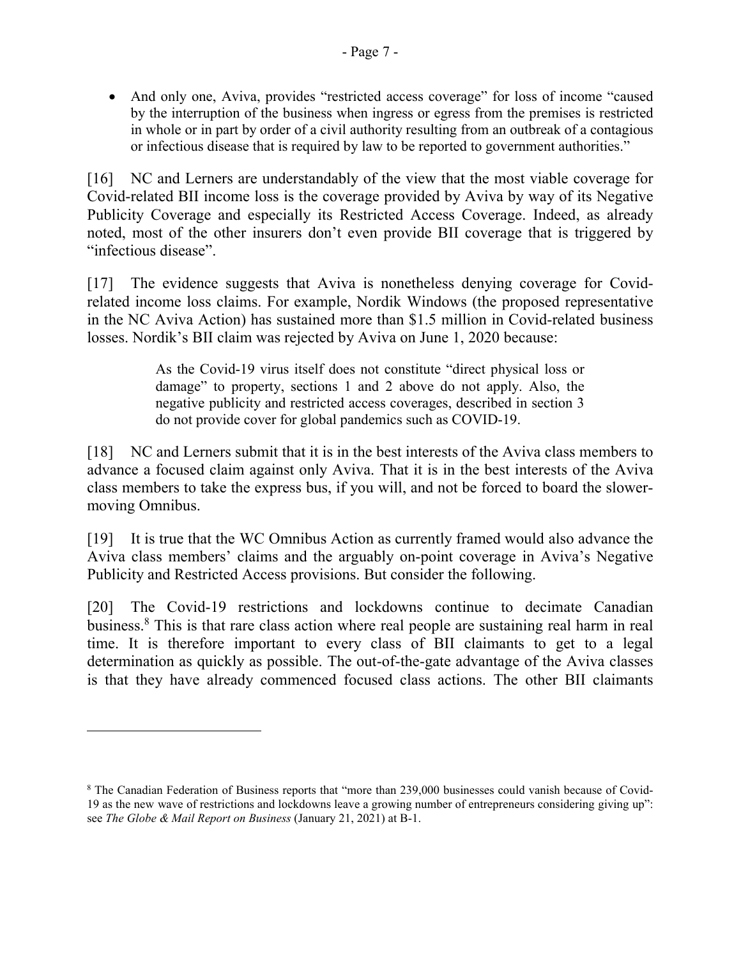And only one, Aviva, provides "restricted access coverage" for loss of income "caused by the interruption of the business when ingress or egress from the premises is restricted in whole or in part by order of a civil authority resulting from an outbreak of a contagious or infectious disease that is required by law to be reported to government authorities."

[16] NC and Lerners are understandably of the view that the most viable coverage for Covid-related BII income loss is the coverage provided by Aviva by way of its Negative Publicity Coverage and especially its Restricted Access Coverage. Indeed, as already noted, most of the other insurers don't even provide BII coverage that is triggered by "infectious disease".

[17] The evidence suggests that Aviva is nonetheless denying coverage for Covidrelated income loss claims. For example, Nordik Windows (the proposed representative in the NC Aviva Action) has sustained more than \$1.5 million in Covid-related business losses. Nordik's BII claim was rejected by Aviva on June 1, 2020 because:

> As the Covid-19 virus itself does not constitute "direct physical loss or damage" to property, sections 1 and 2 above do not apply. Also, the negative publicity and restricted access coverages, described in section 3 do not provide cover for global pandemics such as COVID-19.

[18] NC and Lerners submit that it is in the best interests of the Aviva class members to advance a focused claim against only Aviva. That it is in the best interests of the Aviva class members to take the express bus, if you will, and not be forced to board the slowermoving Omnibus.

[19] It is true that the WC Omnibus Action as currently framed would also advance the Aviva class members' claims and the arguably on-point coverage in Aviva's Negative Publicity and Restricted Access provisions. But consider the following.

[20] The Covid-19 restrictions and lockdowns continue to decimate Canadian business. <sup>8</sup> This is that rare class action where real people are sustaining real harm in real time. It is therefore important to every class of BII claimants to get to a legal determination as quickly as possible. The out-of-the-gate advantage of the Aviva classes is that they have already commenced focused class actions. The other BII claimants

 $\overline{a}$ 

<sup>8</sup> The Canadian Federation of Business reports that "more than 239,000 businesses could vanish because of Covid-19 as the new wave of restrictions and lockdowns leave a growing number of entrepreneurs considering giving up": see *The Globe & Mail Report on Business* (January 21, 2021) at B-1.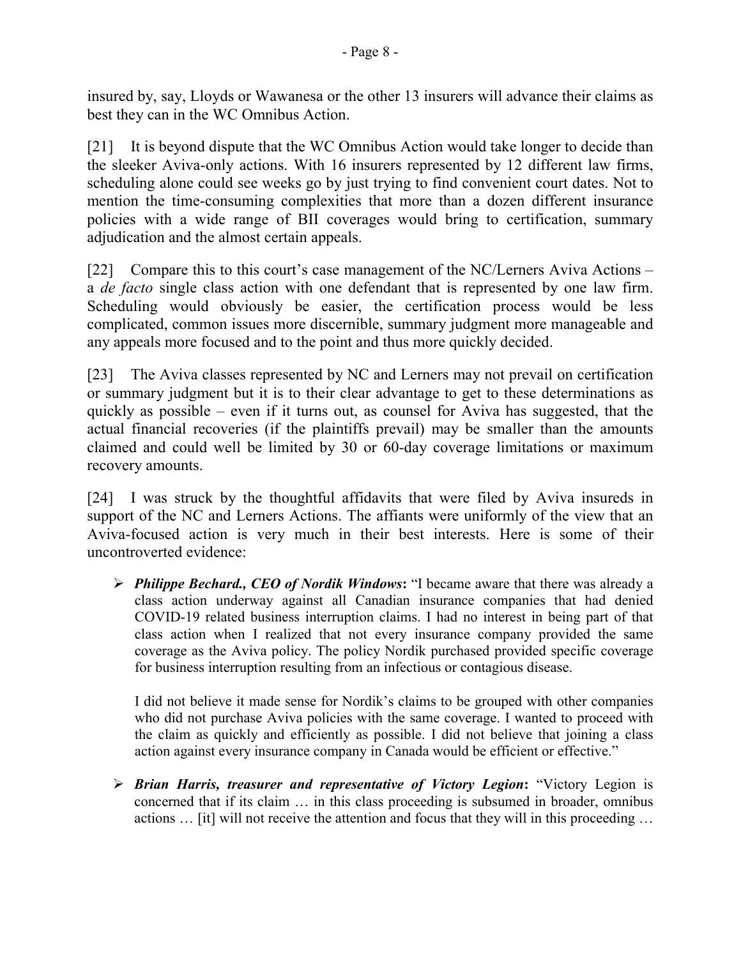insured by, say, Lloyds or Wawanesa or the other 13 insurers will advance their claims as best they can in the WC Omnibus Action.

[21] It is beyond dispute that the WC Omnibus Action would take longer to decide than the sleeker Aviva-only actions. With 16 insurers represented by 12 different law firms, scheduling alone could see weeks go by just trying to find convenient court dates. Not to mention the time-consuming complexities that more than a dozen different insurance policies with a wide range of BII coverages would bring to certification, summary adjudication and the almost certain appeals.

[22] Compare this to this court's case management of the NC/Lerners Aviva Actions – a *de facto* single class action with one defendant that is represented by one law firm. Scheduling would obviously be easier, the certification process would be less complicated, common issues more discernible, summary judgment more manageable and any appeals more focused and to the point and thus more quickly decided.

[23] The Aviva classes represented by NC and Lerners may not prevail on certification or summary judgment but it is to their clear advantage to get to these determinations as quickly as possible – even if it turns out, as counsel for Aviva has suggested, that the actual financial recoveries (if the plaintiffs prevail) may be smaller than the amounts claimed and could well be limited by 30 or 60-day coverage limitations or maximum recovery amounts.

[24] I was struck by the thoughtful affidavits that were filed by Aviva insureds in support of the NC and Lerners Actions. The affiants were uniformly of the view that an Aviva-focused action is very much in their best interests. Here is some of their uncontroverted evidence:

 *Philippe Bechard., CEO of Nordik Windows***:** "I became aware that there was already a class action underway against all Canadian insurance companies that had denied COVID-19 related business interruption claims. I had no interest in being part of that class action when I realized that not every insurance company provided the same coverage as the Aviva policy. The policy Nordik purchased provided specific coverage for business interruption resulting from an infectious or contagious disease.

I did not believe it made sense for Nordik's claims to be grouped with other companies who did not purchase Aviva policies with the same coverage. I wanted to proceed with the claim as quickly and efficiently as possible. I did not believe that joining a class action against every insurance company in Canada would be efficient or effective."

 *Brian Harris, treasurer and representative of Victory Legion***:** "Victory Legion is concerned that if its claim … in this class proceeding is subsumed in broader, omnibus actions … [it] will not receive the attention and focus that they will in this proceeding …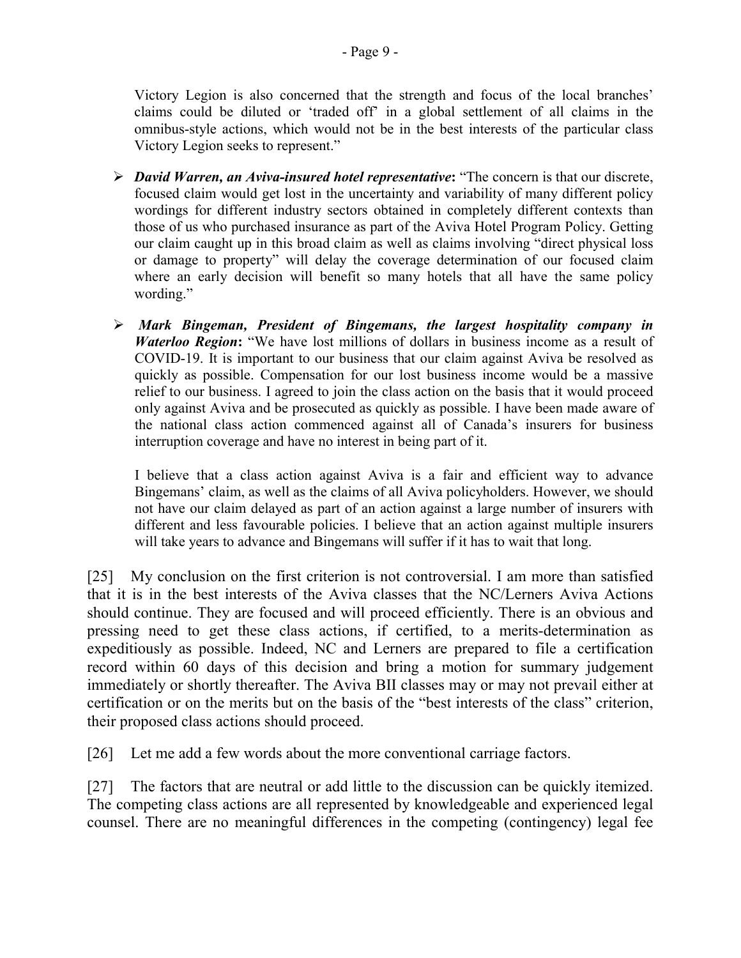Victory Legion is also concerned that the strength and focus of the local branches' claims could be diluted or 'traded off' in a global settlement of all claims in the omnibus-style actions, which would not be in the best interests of the particular class Victory Legion seeks to represent."

- *David Warren, an Aviva-insured hotel representative***:** "The concern is that our discrete, focused claim would get lost in the uncertainty and variability of many different policy wordings for different industry sectors obtained in completely different contexts than those of us who purchased insurance as part of the Aviva Hotel Program Policy. Getting our claim caught up in this broad claim as well as claims involving "direct physical loss or damage to property" will delay the coverage determination of our focused claim where an early decision will benefit so many hotels that all have the same policy wording."
- *Mark Bingeman, President of Bingemans, the largest hospitality company in Waterloo Region***:** "We have lost millions of dollars in business income as a result of COVID-19. It is important to our business that our claim against Aviva be resolved as quickly as possible. Compensation for our lost business income would be a massive relief to our business. I agreed to join the class action on the basis that it would proceed only against Aviva and be prosecuted as quickly as possible. I have been made aware of the national class action commenced against all of Canada's insurers for business interruption coverage and have no interest in being part of it.

I believe that a class action against Aviva is a fair and efficient way to advance Bingemans' claim, as well as the claims of all Aviva policyholders. However, we should not have our claim delayed as part of an action against a large number of insurers with different and less favourable policies. I believe that an action against multiple insurers will take years to advance and Bingemans will suffer if it has to wait that long.

[25] My conclusion on the first criterion is not controversial. I am more than satisfied that it is in the best interests of the Aviva classes that the NC/Lerners Aviva Actions should continue. They are focused and will proceed efficiently. There is an obvious and pressing need to get these class actions, if certified, to a merits-determination as expeditiously as possible. Indeed, NC and Lerners are prepared to file a certification record within 60 days of this decision and bring a motion for summary judgement immediately or shortly thereafter. The Aviva BII classes may or may not prevail either at certification or on the merits but on the basis of the "best interests of the class" criterion, their proposed class actions should proceed.

[26] Let me add a few words about the more conventional carriage factors.

[27] The factors that are neutral or add little to the discussion can be quickly itemized. The competing class actions are all represented by knowledgeable and experienced legal counsel. There are no meaningful differences in the competing (contingency) legal fee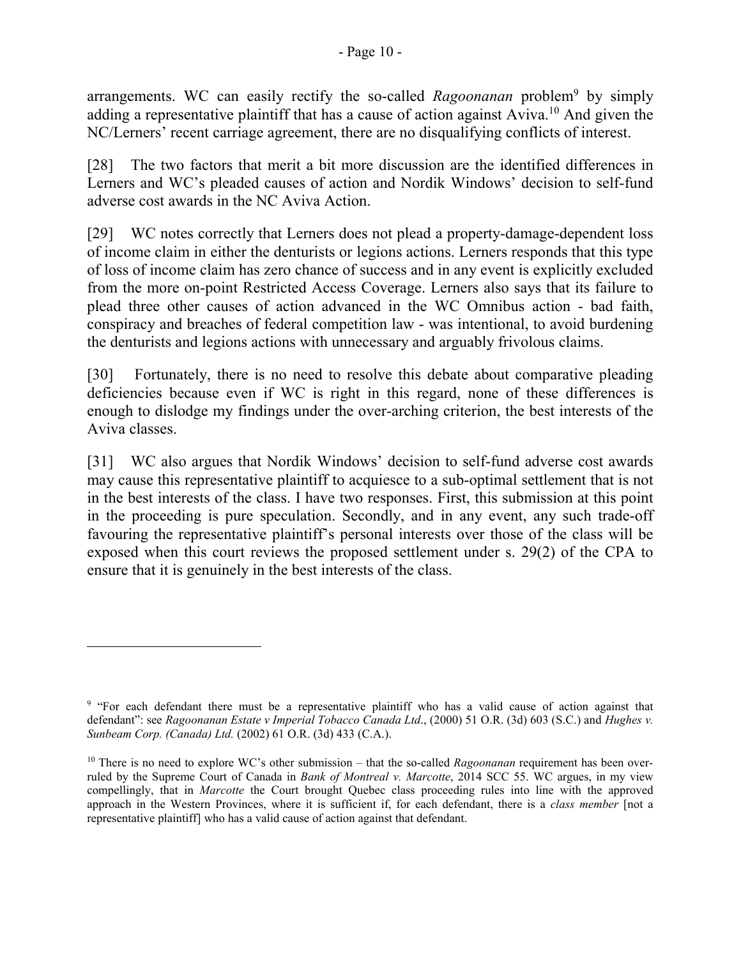arrangements. WC can easily rectify the so-called *Ragoonanan* problem<sup>9</sup> by simply adding a representative plaintiff that has a cause of action against Aviva.<sup>10</sup> And given the NC/Lerners' recent carriage agreement, there are no disqualifying conflicts of interest.

[28] The two factors that merit a bit more discussion are the identified differences in Lerners and WC's pleaded causes of action and Nordik Windows' decision to self-fund adverse cost awards in the NC Aviva Action.

[29] WC notes correctly that Lerners does not plead a property-damage-dependent loss of income claim in either the denturists or legions actions. Lerners responds that this type of loss of income claim has zero chance of success and in any event is explicitly excluded from the more on-point Restricted Access Coverage. Lerners also says that its failure to plead three other causes of action advanced in the WC Omnibus action - bad faith, conspiracy and breaches of federal competition law - was intentional, to avoid burdening the denturists and legions actions with unnecessary and arguably frivolous claims.

[30] Fortunately, there is no need to resolve this debate about comparative pleading deficiencies because even if WC is right in this regard, none of these differences is enough to dislodge my findings under the over-arching criterion, the best interests of the Aviva classes.

[31] WC also argues that Nordik Windows' decision to self-fund adverse cost awards may cause this representative plaintiff to acquiesce to a sub-optimal settlement that is not in the best interests of the class. I have two responses. First, this submission at this point in the proceeding is pure speculation. Secondly, and in any event, any such trade-off favouring the representative plaintiff's personal interests over those of the class will be exposed when this court reviews the proposed settlement under s. 29(2) of the CPA to ensure that it is genuinely in the best interests of the class.

 $\overline{a}$ 

<sup>&</sup>lt;sup>9</sup> "For each defendant there must be a representative plaintiff who has a valid cause of action against that defendant": see *Ragoonanan Estate v Imperial Tobacco Canada Ltd*., (2000) 51 O.R. (3d) 603 (S.C.) and *Hughes v. Sunbeam Corp. (Canada) Ltd.* (2002) 61 O.R. (3d) 433 (C.A.).

<sup>&</sup>lt;sup>10</sup> There is no need to explore WC's other submission – that the so-called *Ragoonanan* requirement has been overruled by the Supreme Court of Canada in *Bank of Montreal v. Marcotte*, 2014 SCC 55. WC argues, in my view compellingly, that in *Marcotte* the Court brought Quebec class proceeding rules into line with the approved approach in the Western Provinces, where it is sufficient if, for each defendant, there is a *class member* [not a representative plaintiff] who has a valid cause of action against that defendant.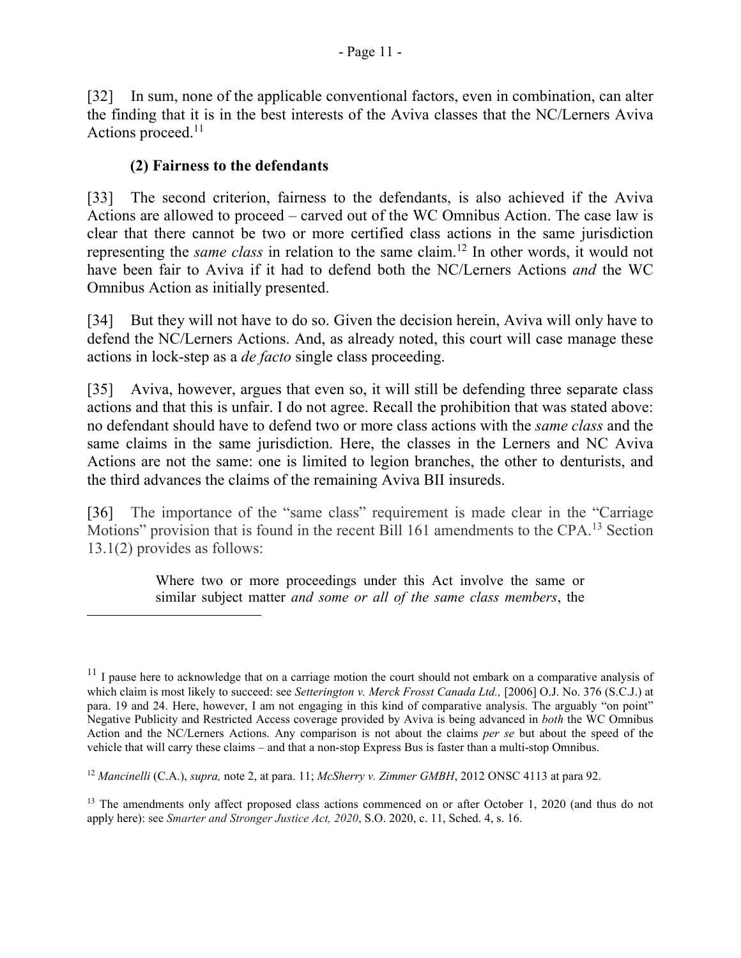[32] In sum, none of the applicable conventional factors, even in combination, can alter the finding that it is in the best interests of the Aviva classes that the NC/Lerners Aviva Actions proceed.<sup>11</sup>

## **(2) Fairness to the defendants**

 $\overline{a}$ 

[33] The second criterion, fairness to the defendants, is also achieved if the Aviva Actions are allowed to proceed – carved out of the WC Omnibus Action. The case law is clear that there cannot be two or more certified class actions in the same jurisdiction representing the *same class* in relation to the same claim.<sup>12</sup> In other words, it would not have been fair to Aviva if it had to defend both the NC/Lerners Actions *and* the WC Omnibus Action as initially presented.

[34] But they will not have to do so. Given the decision herein, Aviva will only have to defend the NC/Lerners Actions. And, as already noted, this court will case manage these actions in lock-step as a *de facto* single class proceeding.

[35] Aviva, however, argues that even so, it will still be defending three separate class actions and that this is unfair. I do not agree. Recall the prohibition that was stated above: no defendant should have to defend two or more class actions with the *same class* and the same claims in the same jurisdiction. Here, the classes in the Lerners and NC Aviva Actions are not the same: one is limited to legion branches, the other to denturists, and the third advances the claims of the remaining Aviva BII insureds.

[36] The importance of the "same class" requirement is made clear in the "Carriage" Motions" provision that is found in the recent Bill 161 amendments to the CPA.<sup>13</sup> Section 13.1(2) provides as follows:

> Where two or more proceedings under this Act involve the same or similar subject matter *and some or all of the same class members*, the

 $11$  I pause here to acknowledge that on a carriage motion the court should not embark on a comparative analysis of which claim is most likely to succeed: see *Setterington v. Merck Frosst Canada Ltd.,* [2006] O.J. No. 376 (S.C.J.) at para. 19 and 24. Here, however, I am not engaging in this kind of comparative analysis. The arguably "on point" Negative Publicity and Restricted Access coverage provided by Aviva is being advanced in *both* the WC Omnibus Action and the NC/Lerners Actions. Any comparison is not about the claims *per se* but about the speed of the vehicle that will carry these claims – and that a non-stop Express Bus is faster than a multi-stop Omnibus.

<sup>12</sup> *Mancinelli* (C.A.), *supra,* note 2, at para. 11; *McSherry v. Zimmer GMBH*, 2012 ONSC 4113 at para 92.

<sup>&</sup>lt;sup>13</sup> The amendments only affect proposed class actions commenced on or after October 1, 2020 (and thus do not apply here): see *Smarter and Stronger Justice Act, 2020*, S.O. 2020, c. 11, Sched. 4, s. 16.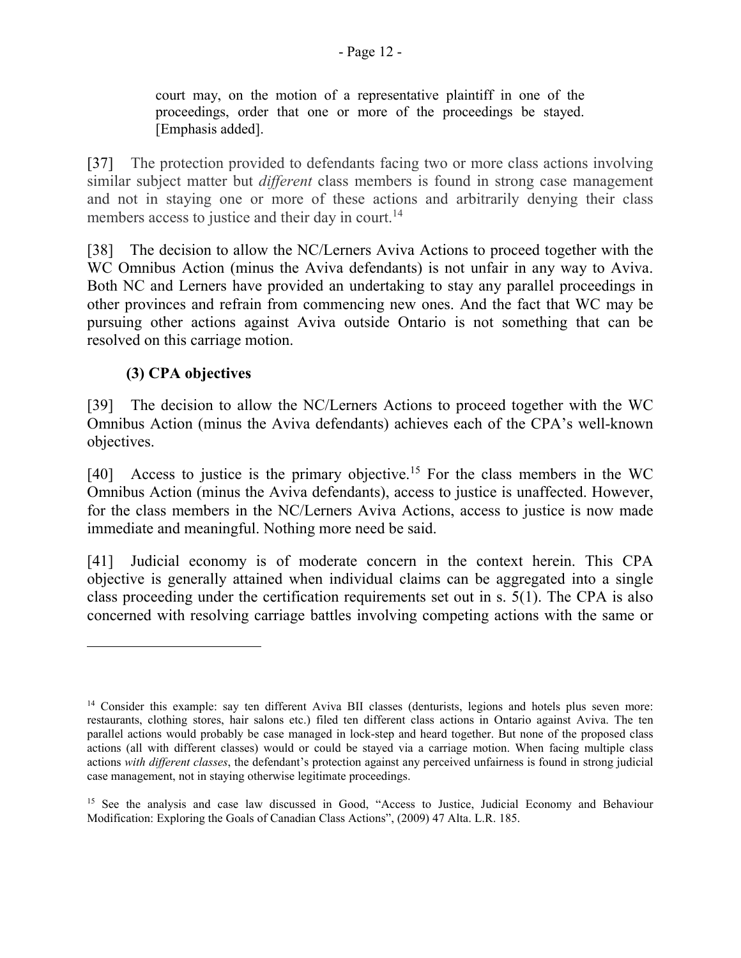court may, on the motion of a representative plaintiff in one of the proceedings, order that one or more of the proceedings be stayed. [Emphasis added].

[37] The protection provided to defendants facing two or more class actions involving similar subject matter but *different* class members is found in strong case management and not in staying one or more of these actions and arbitrarily denying their class members access to justice and their day in court.<sup>14</sup>

[38] The decision to allow the NC/Lerners Aviva Actions to proceed together with the WC Omnibus Action (minus the Aviva defendants) is not unfair in any way to Aviva. Both NC and Lerners have provided an undertaking to stay any parallel proceedings in other provinces and refrain from commencing new ones. And the fact that WC may be pursuing other actions against Aviva outside Ontario is not something that can be resolved on this carriage motion.

## **(3) CPA objectives**

 $\overline{a}$ 

[39] The decision to allow the NC/Lerners Actions to proceed together with the WC Omnibus Action (minus the Aviva defendants) achieves each of the CPA's well-known objectives.

[40] Access to justice is the primary objective.<sup>15</sup> For the class members in the WC Omnibus Action (minus the Aviva defendants), access to justice is unaffected. However, for the class members in the NC/Lerners Aviva Actions, access to justice is now made immediate and meaningful. Nothing more need be said.

[41] Judicial economy is of moderate concern in the context herein. This CPA objective is generally attained when individual claims can be aggregated into a single class proceeding under the certification requirements set out in s. 5(1). The CPA is also concerned with resolving carriage battles involving competing actions with the same or

<sup>&</sup>lt;sup>14</sup> Consider this example: say ten different Aviva BII classes (denturists, legions and hotels plus seven more: restaurants, clothing stores, hair salons etc.) filed ten different class actions in Ontario against Aviva. The ten parallel actions would probably be case managed in lock-step and heard together. But none of the proposed class actions (all with different classes) would or could be stayed via a carriage motion. When facing multiple class actions *with different classes*, the defendant's protection against any perceived unfairness is found in strong judicial case management, not in staying otherwise legitimate proceedings.

<sup>&</sup>lt;sup>15</sup> See the analysis and case law discussed in Good, "Access to Justice, Judicial Economy and Behaviour Modification: Exploring the Goals of Canadian Class Actions", (2009) 47 Alta. L.R. 185.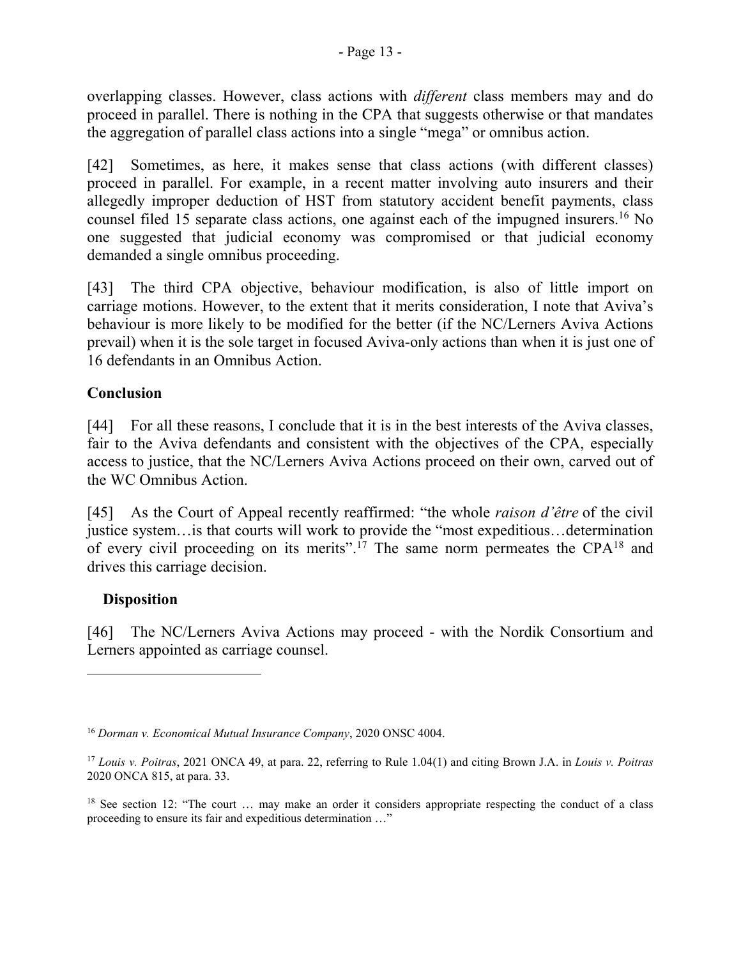overlapping classes. However, class actions with *different* class members may and do proceed in parallel. There is nothing in the CPA that suggests otherwise or that mandates the aggregation of parallel class actions into a single "mega" or omnibus action.

[42] Sometimes, as here, it makes sense that class actions (with different classes) proceed in parallel. For example, in a recent matter involving auto insurers and their allegedly improper deduction of HST from statutory accident benefit payments, class counsel filed 15 separate class actions, one against each of the impugned insurers. <sup>16</sup> No one suggested that judicial economy was compromised or that judicial economy demanded a single omnibus proceeding.

[43] The third CPA objective, behaviour modification, is also of little import on carriage motions. However, to the extent that it merits consideration, I note that Aviva's behaviour is more likely to be modified for the better (if the NC/Lerners Aviva Actions prevail) when it is the sole target in focused Aviva-only actions than when it is just one of 16 defendants in an Omnibus Action.

## **Conclusion**

[44] For all these reasons, I conclude that it is in the best interests of the Aviva classes, fair to the Aviva defendants and consistent with the objectives of the CPA, especially access to justice, that the NC/Lerners Aviva Actions proceed on their own, carved out of the WC Omnibus Action.

[45] As the Court of Appeal recently reaffirmed: "the whole *raison d'être* of the civil justice system…is that courts will work to provide the "most expeditious…determination of every civil proceeding on its merits".<sup>17</sup> The same norm permeates the CPA<sup>18</sup> and drives this carriage decision.

## **Disposition**

 $\overline{a}$ 

[46] The NC/Lerners Aviva Actions may proceed - with the Nordik Consortium and Lerners appointed as carriage counsel.

<sup>16</sup> *Dorman v. Economical Mutual Insurance Company*, 2020 ONSC 4004.

<sup>17</sup> *Louis v. Poitras*, 2021 ONCA 49, at para. 22, referring to Rule 1.04(1) and citing Brown J.A. in *Louis v. Poitras* 2020 ONCA 815, at para. 33.

<sup>&</sup>lt;sup>18</sup> See section 12: "The court ... may make an order it considers appropriate respecting the conduct of a class proceeding to ensure its fair and expeditious determination …"